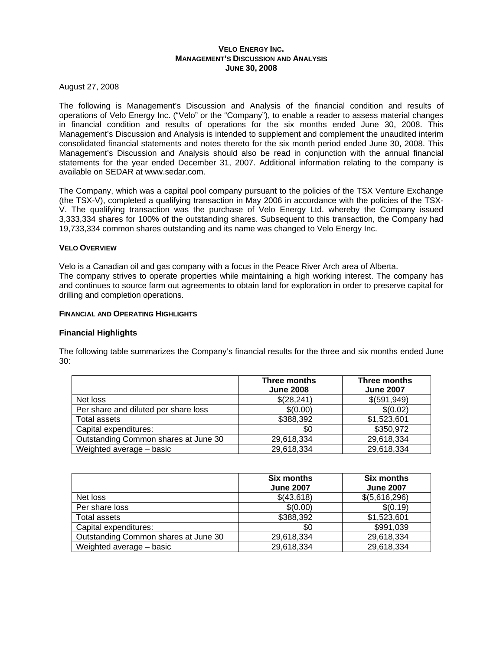# **VELO ENERGY INC. MANAGEMENT'S DISCUSSION AND ANALYSIS JUNE 30, 2008**

August 27, 2008

The following is Management's Discussion and Analysis of the financial condition and results of operations of Velo Energy Inc. ("Velo" or the "Company"), to enable a reader to assess material changes in financial condition and results of operations for the six months ended June 30, 2008. This Management's Discussion and Analysis is intended to supplement and complement the unaudited interim consolidated financial statements and notes thereto for the six month period ended June 30, 2008. This Management's Discussion and Analysis should also be read in conjunction with the annual financial statements for the year ended December 31, 2007. Additional information relating to the company is available on SEDAR at www.sedar.com.

The Company, which was a capital pool company pursuant to the policies of the TSX Venture Exchange (the TSX-V), completed a qualifying transaction in May 2006 in accordance with the policies of the TSX-V. The qualifying transaction was the purchase of Velo Energy Ltd. whereby the Company issued 3,333,334 shares for 100% of the outstanding shares. Subsequent to this transaction, the Company had 19,733,334 common shares outstanding and its name was changed to Velo Energy Inc.

# **VELO OVERVIEW**

Velo is a Canadian oil and gas company with a focus in the Peace River Arch area of Alberta. The company strives to operate properties while maintaining a high working interest. The company has and continues to source farm out agreements to obtain land for exploration in order to preserve capital for drilling and completion operations.

# **FINANCIAL AND OPERATING HIGHLIGHTS**

# **Financial Highlights**

The following table summarizes the Company's financial results for the three and six months ended June 30:

|                                      | Three months<br><b>June 2008</b> | Three months<br><b>June 2007</b> |
|--------------------------------------|----------------------------------|----------------------------------|
| Net loss                             | \$(28,241)                       | \$ (591, 949)                    |
| Per share and diluted per share loss | \$(0.00)                         | \$(0.02)                         |
| Total assets                         | \$388,392                        | \$1,523,601                      |
| Capital expenditures:                | \$0                              | \$350,972                        |
| Outstanding Common shares at June 30 | 29,618,334                       | 29,618,334                       |
| Weighted average - basic             | 29,618,334                       | 29,618,334                       |

|                                      | <b>Six months</b><br><b>June 2007</b> | <b>Six months</b><br><b>June 2007</b> |
|--------------------------------------|---------------------------------------|---------------------------------------|
| Net loss                             | \$(43,618)                            | \$(5,616,296)                         |
| Per share loss                       | \$(0.00)                              | \$(0.19)                              |
| Total assets                         | \$388,392                             | \$1,523,601                           |
| Capital expenditures:                | \$0                                   | \$991,039                             |
| Outstanding Common shares at June 30 | 29,618,334                            | 29,618,334                            |
| Weighted average - basic             | 29,618,334                            | 29,618,334                            |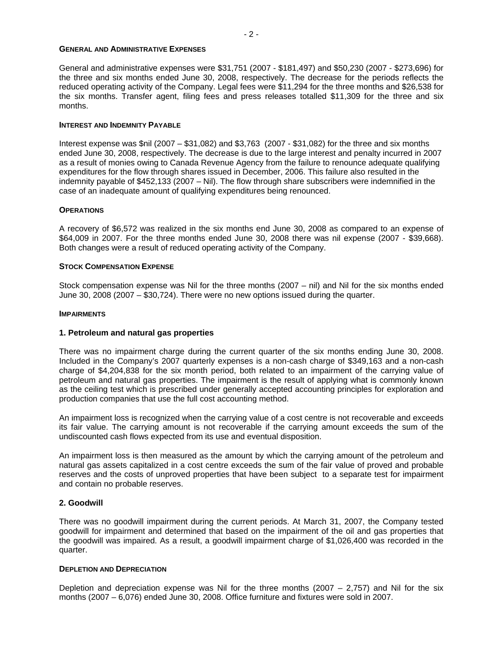#### **GENERAL AND ADMINISTRATIVE EXPENSES**

General and administrative expenses were \$31,751 (2007 - \$181,497) and \$50,230 (2007 - \$273,696) for the three and six months ended June 30, 2008, respectively. The decrease for the periods reflects the reduced operating activity of the Company. Legal fees were \$11,294 for the three months and \$26,538 for the six months. Transfer agent, filing fees and press releases totalled \$11,309 for the three and six months.

# **INTEREST AND INDEMNITY PAYABLE**

Interest expense was \$nil (2007 – \$31,082) and \$3,763 (2007 - \$31,082) for the three and six months ended June 30, 2008, respectively. The decrease is due to the large interest and penalty incurred in 2007 as a result of monies owing to Canada Revenue Agency from the failure to renounce adequate qualifying expenditures for the flow through shares issued in December, 2006. This failure also resulted in the indemnity payable of \$452,133 (2007 – Nil). The flow through share subscribers were indemnified in the case of an inadequate amount of qualifying expenditures being renounced.

# **OPERATIONS**

A recovery of \$6,572 was realized in the six months end June 30, 2008 as compared to an expense of \$64,009 in 2007. For the three months ended June 30, 2008 there was nil expense (2007 - \$39,668). Both changes were a result of reduced operating activity of the Company.

# **STOCK COMPENSATION EXPENSE**

Stock compensation expense was Nil for the three months (2007 – nil) and Nil for the six months ended June 30, 2008 (2007 – \$30,724). There were no new options issued during the quarter.

## **IMPAIRMENTS**

# **1. Petroleum and natural gas properties**

There was no impairment charge during the current quarter of the six months ending June 30, 2008. Included in the Company's 2007 quarterly expenses is a non-cash charge of \$349,163 and a non-cash charge of \$4,204,838 for the six month period, both related to an impairment of the carrying value of petroleum and natural gas properties. The impairment is the result of applying what is commonly known as the ceiling test which is prescribed under generally accepted accounting principles for exploration and production companies that use the full cost accounting method.

An impairment loss is recognized when the carrying value of a cost centre is not recoverable and exceeds its fair value. The carrying amount is not recoverable if the carrying amount exceeds the sum of the undiscounted cash flows expected from its use and eventual disposition.

An impairment loss is then measured as the amount by which the carrying amount of the petroleum and natural gas assets capitalized in a cost centre exceeds the sum of the fair value of proved and probable reserves and the costs of unproved properties that have been subject to a separate test for impairment and contain no probable reserves.

## **2. Goodwill**

There was no goodwill impairment during the current periods. At March 31, 2007, the Company tested goodwill for impairment and determined that based on the impairment of the oil and gas properties that the goodwill was impaired. As a result, a goodwill impairment charge of \$1,026,400 was recorded in the quarter.

## **DEPLETION AND DEPRECIATION**

Depletion and depreciation expense was Nil for the three months (2007  $-$  2,757) and Nil for the six months (2007 – 6,076) ended June 30, 2008. Office furniture and fixtures were sold in 2007.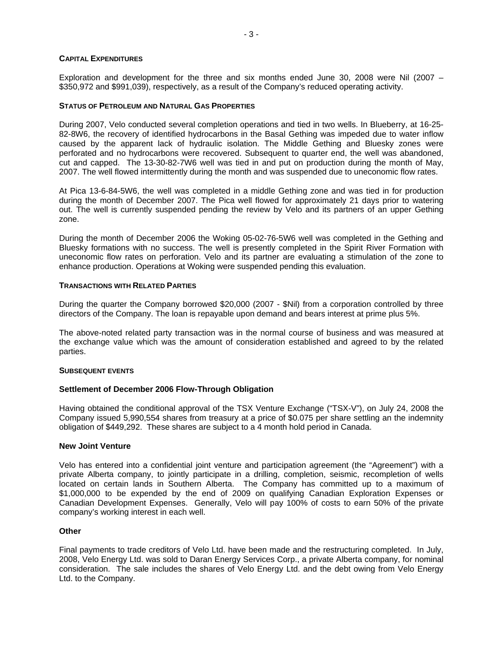# **CAPITAL EXPENDITURES**

Exploration and development for the three and six months ended June 30, 2008 were Nil (2007 – \$350,972 and \$991,039), respectively, as a result of the Company's reduced operating activity.

# **STATUS OF PETROLEUM AND NATURAL GAS PROPERTIES**

During 2007, Velo conducted several completion operations and tied in two wells. In Blueberry, at 16-25- 82-8W6, the recovery of identified hydrocarbons in the Basal Gething was impeded due to water inflow caused by the apparent lack of hydraulic isolation. The Middle Gething and Bluesky zones were perforated and no hydrocarbons were recovered. Subsequent to quarter end, the well was abandoned, cut and capped. The 13-30-82-7W6 well was tied in and put on production during the month of May, 2007. The well flowed intermittently during the month and was suspended due to uneconomic flow rates.

At Pica 13-6-84-5W6, the well was completed in a middle Gething zone and was tied in for production during the month of December 2007. The Pica well flowed for approximately 21 days prior to watering out. The well is currently suspended pending the review by Velo and its partners of an upper Gething zone.

During the month of December 2006 the Woking 05-02-76-5W6 well was completed in the Gething and Bluesky formations with no success. The well is presently completed in the Spirit River Formation with uneconomic flow rates on perforation. Velo and its partner are evaluating a stimulation of the zone to enhance production. Operations at Woking were suspended pending this evaluation.

## **TRANSACTIONS WITH RELATED PARTIES**

During the quarter the Company borrowed \$20,000 (2007 - \$Nil) from a corporation controlled by three directors of the Company. The loan is repayable upon demand and bears interest at prime plus 5%.

The above-noted related party transaction was in the normal course of business and was measured at the exchange value which was the amount of consideration established and agreed to by the related parties.

## **SUBSEQUENT EVENTS**

# **Settlement of December 2006 Flow-Through Obligation**

Having obtained the conditional approval of the TSX Venture Exchange ("TSX-V"), on July 24, 2008 the Company issued 5,990,554 shares from treasury at a price of \$0.075 per share settling an the indemnity obligation of \$449,292. These shares are subject to a 4 month hold period in Canada.

## **New Joint Venture**

Velo has entered into a confidential joint venture and participation agreement (the "Agreement") with a private Alberta company, to jointly participate in a drilling, completion, seismic, recompletion of wells located on certain lands in Southern Alberta. The Company has committed up to a maximum of \$1,000,000 to be expended by the end of 2009 on qualifying Canadian Exploration Expenses or Canadian Development Expenses. Generally, Velo will pay 100% of costs to earn 50% of the private company's working interest in each well.

# **Other**

Final payments to trade creditors of Velo Ltd. have been made and the restructuring completed. In July, 2008, Velo Energy Ltd. was sold to Daran Energy Services Corp., a private Alberta company, for nominal consideration. The sale includes the shares of Velo Energy Ltd. and the debt owing from Velo Energy Ltd. to the Company.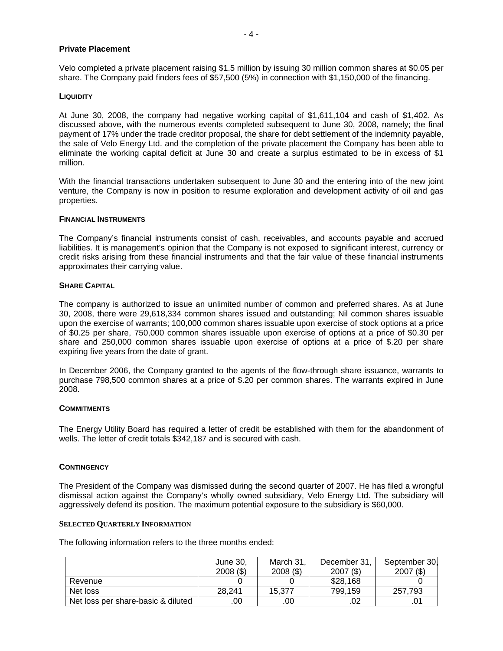# **Private Placement**

Velo completed a private placement raising \$1.5 million by issuing 30 million common shares at \$0.05 per share. The Company paid finders fees of \$57,500 (5%) in connection with \$1,150,000 of the financing.

## **LIQUIDITY**

At June 30, 2008, the company had negative working capital of \$1,611,104 and cash of \$1,402. As discussed above, with the numerous events completed subsequent to June 30, 2008, namely; the final payment of 17% under the trade creditor proposal, the share for debt settlement of the indemnity payable, the sale of Velo Energy Ltd. and the completion of the private placement the Company has been able to eliminate the working capital deficit at June 30 and create a surplus estimated to be in excess of \$1 million.

With the financial transactions undertaken subsequent to June 30 and the entering into of the new joint venture, the Company is now in position to resume exploration and development activity of oil and gas properties.

## **FINANCIAL INSTRUMENTS**

The Company's financial instruments consist of cash, receivables, and accounts payable and accrued liabilities. It is management's opinion that the Company is not exposed to significant interest, currency or credit risks arising from these financial instruments and that the fair value of these financial instruments approximates their carrying value.

# **SHARE CAPITAL**

The company is authorized to issue an unlimited number of common and preferred shares. As at June 30, 2008, there were 29,618,334 common shares issued and outstanding; Nil common shares issuable upon the exercise of warrants; 100,000 common shares issuable upon exercise of stock options at a price of \$0.25 per share, 750,000 common shares issuable upon exercise of options at a price of \$0.30 per share and 250,000 common shares issuable upon exercise of options at a price of \$.20 per share expiring five years from the date of grant.

In December 2006, the Company granted to the agents of the flow-through share issuance, warrants to purchase 798,500 common shares at a price of \$.20 per common shares. The warrants expired in June 2008.

## **COMMITMENTS**

The Energy Utility Board has required a letter of credit be established with them for the abandonment of wells. The letter of credit totals \$342,187 and is secured with cash.

## **CONTINGENCY**

The President of the Company was dismissed during the second quarter of 2007. He has filed a wrongful dismissal action against the Company's wholly owned subsidiary, Velo Energy Ltd. The subsidiary will aggressively defend its position. The maximum potential exposure to the subsidiary is \$60,000.

## **SELECTED QUARTERLY INFORMATION**

The following information refers to the three months ended:

|                                    | June 30,<br>$2008($ \$) | March 31<br>$2008($ \$) | December 31,<br>$2007($ \$) | September 30,<br>$2007($ \$) |
|------------------------------------|-------------------------|-------------------------|-----------------------------|------------------------------|
| Revenue                            |                         |                         | \$28,168                    |                              |
| Net loss                           | 28.241                  | 15.377                  | 799.159                     | 257.793                      |
| Net loss per share-basic & diluted | .00                     | .00                     | .02                         |                              |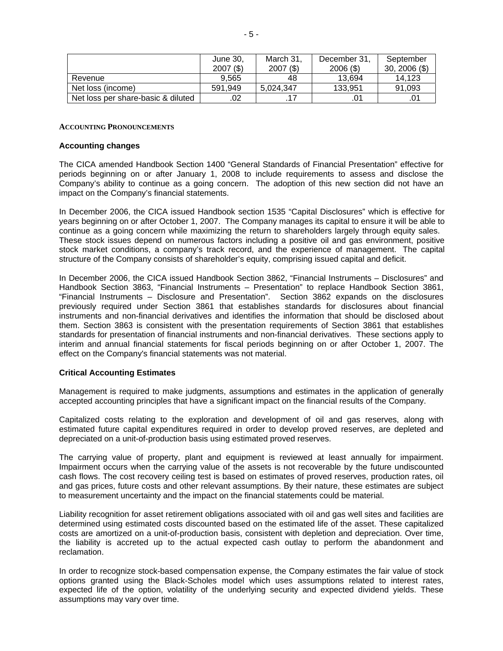|                                    | June 30,<br>$2007($ \$) | March 31,<br>$2007($ \$) | December 31,<br>$2006($ \$) | September<br>$30, 2006 \, (\$)$ |
|------------------------------------|-------------------------|--------------------------|-----------------------------|---------------------------------|
| Revenue                            | 9.565                   | 48                       | 13.694                      | 14.123                          |
| Net loss (income)                  | 591.949                 | 5.024.347                | 133.951                     | 91.093                          |
| Net loss per share-basic & diluted | .02                     |                          |                             |                                 |

# **ACCOUNTING PRONOUNCEMENTS**

## **Accounting changes**

The CICA amended Handbook Section 1400 "General Standards of Financial Presentation" effective for periods beginning on or after January 1, 2008 to include requirements to assess and disclose the Company's ability to continue as a going concern. The adoption of this new section did not have an impact on the Company's financial statements.

In December 2006, the CICA issued Handbook section 1535 "Capital Disclosures" which is effective for years beginning on or after October 1, 2007. The Company manages its capital to ensure it will be able to continue as a going concern while maximizing the return to shareholders largely through equity sales. These stock issues depend on numerous factors including a positive oil and gas environment, positive stock market conditions, a company's track record, and the experience of management. The capital structure of the Company consists of shareholder's equity, comprising issued capital and deficit.

In December 2006, the CICA issued Handbook Section 3862, "Financial Instruments – Disclosures" and Handbook Section 3863, "Financial Instruments – Presentation" to replace Handbook Section 3861, "Financial Instruments – Disclosure and Presentation". Section 3862 expands on the disclosures previously required under Section 3861 that establishes standards for disclosures about financial instruments and non-financial derivatives and identifies the information that should be disclosed about them. Section 3863 is consistent with the presentation requirements of Section 3861 that establishes standards for presentation of financial instruments and non-financial derivatives. These sections apply to interim and annual financial statements for fiscal periods beginning on or after October 1, 2007. The effect on the Company's financial statements was not material.

## **Critical Accounting Estimates**

Management is required to make judgments, assumptions and estimates in the application of generally accepted accounting principles that have a significant impact on the financial results of the Company.

Capitalized costs relating to the exploration and development of oil and gas reserves, along with estimated future capital expenditures required in order to develop proved reserves, are depleted and depreciated on a unit-of-production basis using estimated proved reserves.

The carrying value of property, plant and equipment is reviewed at least annually for impairment. Impairment occurs when the carrying value of the assets is not recoverable by the future undiscounted cash flows. The cost recovery ceiling test is based on estimates of proved reserves, production rates, oil and gas prices, future costs and other relevant assumptions. By their nature, these estimates are subject to measurement uncertainty and the impact on the financial statements could be material.

Liability recognition for asset retirement obligations associated with oil and gas well sites and facilities are determined using estimated costs discounted based on the estimated life of the asset. These capitalized costs are amortized on a unit-of-production basis, consistent with depletion and depreciation. Over time, the liability is accreted up to the actual expected cash outlay to perform the abandonment and reclamation.

In order to recognize stock-based compensation expense, the Company estimates the fair value of stock options granted using the Black-Scholes model which uses assumptions related to interest rates, expected life of the option, volatility of the underlying security and expected dividend yields. These assumptions may vary over time.